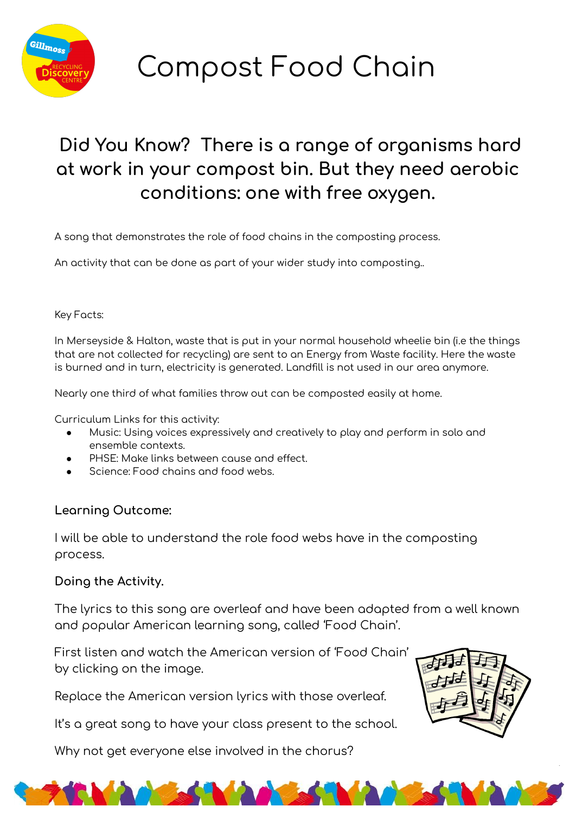

Compost Food Chain

# Did You Know? There is a range of organisms hard at work in your compost bin. But they need aerobic conditions: one with free oxygen.

A song that demonstrates the role of food chains in the composting process.

An activity that can be done as part of your wider study into composting..

#### Key Facts:

In Merseyside & Halton, waste that is put in your normal household wheelie bin (i.e the things that are not collected for recycling) are sent to an Energy from Waste facility. Here the waste is burned and in turn, electricity is generated. Landfill is not used in our area anymore.

Nearly one third of what families throw out can be composted easily at home.

Curriculum Links for this activity:

- Music: Using voices expressively and creatively to play and perform in solo and ensemble contexts.
- PHSE: Make links between cause and effect.
- Science: Food chains and food webs.

#### Learning Outcome:

I will be able to understand the role food webs have in the composting process.

### Doing the Activity.

The lyrics to this song are overleaf and have been adapted from a well known and popular American learning song, called 'Food Chain'.

**TIME** 

First listen and watch the American version of 'Food Chain' by clicking on the image.

Replace the American version lyrics with those overleaf.

It's a great song to have your class present to the school.

Why not get everyone else involved in the chorus?

**MAGGS**